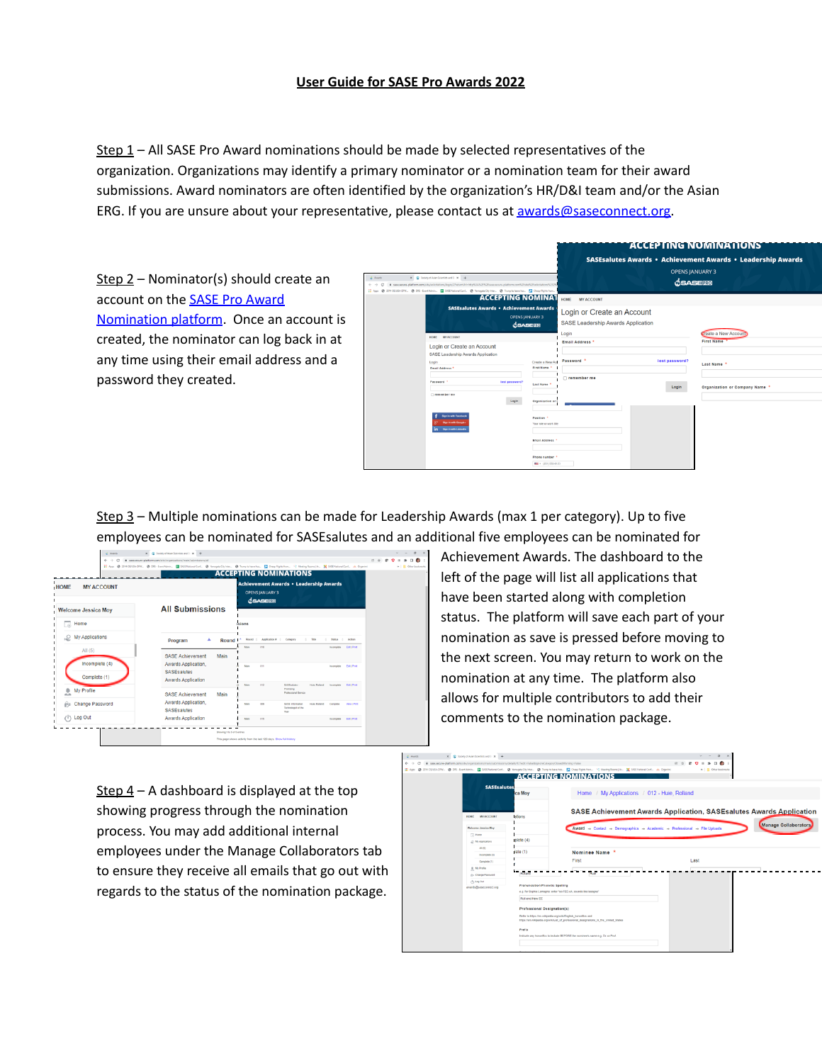## **User Guide for SASE Pro Awards 2022**

Step 1 – All SASE Pro Award nominations should be made by selected representatives of the organization. Organizations may identify a primary nominator or a nomination team for their award submissions. Award nominators are often identified by the organization's HR/D&I team and/or the Asian ERG. If you are unsure about your representative, please contact us at [awards@saseconnect.org.](mailto:awards@saseconnect.org)

Step 2 – Nominator(s) should create an account on the SASE Pro [Award](https://sase.secure-platform.com/site/solicitations/login/2?returnUrl=http%3A%2F%2Fsase.secure-platform.com%2Fsite%2Fsolicitations%2F2%2Fhome) [Nomination](https://sase.secure-platform.com/site/solicitations/login/2?returnUrl=http%3A%2F%2Fsase.secure-platform.com%2Fsite%2Fsolicitations%2F2%2Fhome) platform. Once an account is created, the nominator can log back in at any time using their email address and a password they created.

| $X = \frac{1}{2\pi}$ Society of Asian Scientists and $1: X = +$<br>d. Awards<br>B sasa.secure-platform.com/site/solicitations/login/2/returnUd=http%3A52F%2Fsasa.secure-platform.com%2Fsite%2Fsasicitations%2F2%<br>$\leftarrow$ $\rightarrow$ C<br>2014 OEUSA OFIK. @ DRS - Event Admin. 图 SASE National Cort @ Yumagata City Inter @ Trump to keave hos 图 Cheap Fights from<br>El Apps @ |                                                                                                                                                 |                                                                                                                                                                          | <b>OPENS JANUARY 3</b><br>OSASERO | <b>ACCEPTING NOMINATIONS</b><br><b>SASE salutes Awards • Achievement Awards • Leadership Awards</b> |
|--------------------------------------------------------------------------------------------------------------------------------------------------------------------------------------------------------------------------------------------------------------------------------------------------------------------------------------------------------------------------------------------|-------------------------------------------------------------------------------------------------------------------------------------------------|--------------------------------------------------------------------------------------------------------------------------------------------------------------------------|-----------------------------------|-----------------------------------------------------------------------------------------------------|
| <b>ACCEPTING NOMINAT</b><br><b>SASEsalutes Awards · Achievement Awards</b><br><b>OPENS JANUARY 3</b><br>$\triangle$ SASE<br>HOME MY ACCOUNT<br>Login or Create an Account<br>SASE Leadership Awards Application<br>Login<br><b>Email Address *</b><br>Password <sup>4</sup><br>lost password?<br>nemember me                                                                               | Create a New Ao<br>First Name *<br>Last Name                                                                                                    | HOME<br><b>MY ACCOUNT</b><br>Login or Create an Account<br><b>SASE Leadership Awards Application</b><br>Login<br>Email Address <sup>*</sup><br>Password *<br>remember me | lost password?<br>Login           | <b>Create a New Account</b><br><b>First Name</b><br>Last Name *<br>Organization or Company Name *   |
| Login<br><b>Sign in with Facebook</b><br><b>Sign in with Google</b><br>Skys is with Linked                                                                                                                                                                                                                                                                                                 | Organization or<br>Position <sup>1</sup><br>Your role or work title<br><b>Email Address<sup>1</sup></b><br>Phone number<br>$m = (201) 555-0123$ |                                                                                                                                                                          |                                   |                                                                                                     |

Step 3 – Multiple nominations can be made for Leadership Awards (max 1 per category). Up to five employees can be nominated for SASEsalutes and an additional five employees can be nominated for

| G<br>$\leftarrow$ $\rightarrow$<br>HOME<br><b>MY ACCOUNT</b> | # sase.secure-platform.com/site/organizations/main/submissions/all<br>[8] Apps @ 2014 CEUSA-DFW. @ DIS-EvertAdmin. 图 SASE National Cort. @ Yamagata City Inter @ Trump to keep Parts from. [9] Meaning Rooms   Ac. 图 SASE National Cort. As Organist |       |              | <b>OPENS JANUARY 3</b>         | <b>ACCEPTING NOMINATIONS</b><br><b>Achievement Awards · Leadership Awards</b>               |                       |                          |                                           | 价立 | $\bullet$ $\Box$<br>$n$   $\blacksquare$ Other's |
|--------------------------------------------------------------|------------------------------------------------------------------------------------------------------------------------------------------------------------------------------------------------------------------------------------------------------|-------|--------------|--------------------------------|---------------------------------------------------------------------------------------------|-----------------------|--------------------------|-------------------------------------------|----|--------------------------------------------------|
| <b>Welcome Jessica Moy</b><br>Home<br>局                      | <b>All Submissions</b>                                                                                                                                                                                                                               |       | isions       | $\triangle$ SASE               |                                                                                             |                       |                          |                                           |    |                                                  |
| My Applications                                              | ٠<br>Program                                                                                                                                                                                                                                         | Round | Main         | Round : Application # :<br>010 | Category                                                                                    | $-$ Tele<br>$\sim$    | Steton<br>Incomplete     | 0 Action<br>Edit   Print                  |    |                                                  |
| All $(5)$<br>Incomplete (4)<br>Complete (1)                  | <b>SASE Achievement</b><br>Awards Application.<br><b>SASEsalutes</b><br><b>Awards Application</b>                                                                                                                                                    | Main  | Main<br>Main | 011<br>012                     | SASE takifes                                                                                | Mile Dolland          | Incomplete<br>Incomelate | <b>Fidel Print</b><br><b>Edit   Print</b> |    |                                                  |
| My Profile<br>北<br>Change Password<br>69                     | <b>SASE Achievement</b><br>Awards Application.<br><b>SASEsalutes</b>                                                                                                                                                                                 | Main  | Main         | 009                            | Promising<br><b>Professional Service</b><br>SASE Information<br>Technologist of the<br>Vaar | Huis Rolland Complete |                          | <b>View   Print</b>                       |    |                                                  |
| $(1)$ Log Out                                                | <b>Awards Application</b>                                                                                                                                                                                                                            |       | Mars         | 015                            |                                                                                             |                       | Incomplete Edit   Print  |                                           |    |                                                  |

Achievement Awards. The dashboard to the left of the page will list all applications that have been started along with completion status. The platform will save each part of your nomination as save is pressed before moving to the next screen. You may return to work on the nomination at any time. The platform also allows for multiple contributors to add their comments to the nomination package.

Step  $4 - A$  dashboard is displayed at the top showing progress through the nomination process. You may add additional internal employees under the Manage Collaborators tab to ensure they receive all emails that go out with regards to the status of the nomination package.

| $d$ Awards                      | X C Society of Asian Scientists and I - X - 4- |                                                                                                                        |                                                                                                                                                                                                   | $\vee$ =<br>$0 \times$                                                      |                      |
|---------------------------------|------------------------------------------------|------------------------------------------------------------------------------------------------------------------------|---------------------------------------------------------------------------------------------------------------------------------------------------------------------------------------------------|-----------------------------------------------------------------------------|----------------------|
| $\leftarrow$ $\rightarrow$<br>G |                                                | B sase.secure-platform.com/site/organizations/main/submissions/details/127edit=False8ignoreCategoryClosedWarning=False |                                                                                                                                                                                                   | $PQ = A \cup Q$<br>价立                                                       |                      |
|                                 |                                                |                                                                                                                        | [1] Apps @ 2014 OEUSA-DFIL. @ DRS - Event Admis. E SASE National Conf. @ Yamagab Chyliner @ Trump to keen hou E Crown Fights from 1/2 Meeting Rooms   Ac., 20 SASE National Conf., Jak. Organized | »   Cther bookmarks                                                         |                      |
|                                 |                                                |                                                                                                                        | <b>ACCEPTING NOMINATIONS</b>                                                                                                                                                                      |                                                                             |                      |
|                                 | <b>SASEsalutes</b>                             |                                                                                                                        |                                                                                                                                                                                                   |                                                                             |                      |
|                                 |                                                | ica Mov                                                                                                                | Home / My Applications / 012 - Huie, Rolland                                                                                                                                                      |                                                                             |                      |
|                                 |                                                |                                                                                                                        |                                                                                                                                                                                                   | <b>SASE Achievement Awards Application, SASE salutes Awards Application</b> |                      |
|                                 | HOME MY ACCOUNT<br>Welcome Jessica Moy         | ations                                                                                                                 | Award -> Contact -> Demographics -> Academic -> Professional -> File Uploads                                                                                                                      |                                                                             | Manage Collaborators |
|                                 | <b>C</b> Home                                  |                                                                                                                        |                                                                                                                                                                                                   |                                                                             |                      |
|                                 | C My Applications                              | rplete (4)                                                                                                             |                                                                                                                                                                                                   |                                                                             |                      |
|                                 | AB(5)                                          |                                                                                                                        |                                                                                                                                                                                                   |                                                                             |                      |
|                                 | Incomplate (4)                                 | dete(1)                                                                                                                | Nominee Name                                                                                                                                                                                      |                                                                             |                      |
|                                 | Complete (1)                                   |                                                                                                                        | First                                                                                                                                                                                             | Last                                                                        |                      |
|                                 | 8 My Profile                                   |                                                                                                                        |                                                                                                                                                                                                   |                                                                             |                      |
|                                 | Eu Change Password                             | <b>Grand</b>                                                                                                           |                                                                                                                                                                                                   |                                                                             |                      |
|                                 | (1) Leg Out                                    | Pronunciation/Phonetic Spelling                                                                                        |                                                                                                                                                                                                   |                                                                             |                      |
|                                 | awards@saseconnect.org                         |                                                                                                                        | e.g. for Sophia Lamagna: enter "so-FEE-uh, sounds like lasagna"                                                                                                                                   |                                                                             |                      |
|                                 |                                                | Roll end Hew EE                                                                                                        |                                                                                                                                                                                                   |                                                                             |                      |
|                                 |                                                |                                                                                                                        |                                                                                                                                                                                                   |                                                                             |                      |
|                                 |                                                | Professional Designation(s)                                                                                            |                                                                                                                                                                                                   |                                                                             |                      |
|                                 |                                                |                                                                                                                        | Refer to https://en.wikipedia.org/wiki/English_honorifics.and<br>https://en.w/kipedia.org/wiki/List_of_professional_designations_in_the_United_States                                             |                                                                             |                      |
|                                 |                                                | Prefix                                                                                                                 |                                                                                                                                                                                                   |                                                                             |                      |
|                                 |                                                |                                                                                                                        | Indicate any honorifics to include BEFORE the nominee's name e.g. Dr. or Prof.                                                                                                                    |                                                                             |                      |
|                                 |                                                |                                                                                                                        |                                                                                                                                                                                                   |                                                                             |                      |
|                                 |                                                |                                                                                                                        |                                                                                                                                                                                                   |                                                                             |                      |
|                                 |                                                |                                                                                                                        |                                                                                                                                                                                                   |                                                                             |                      |